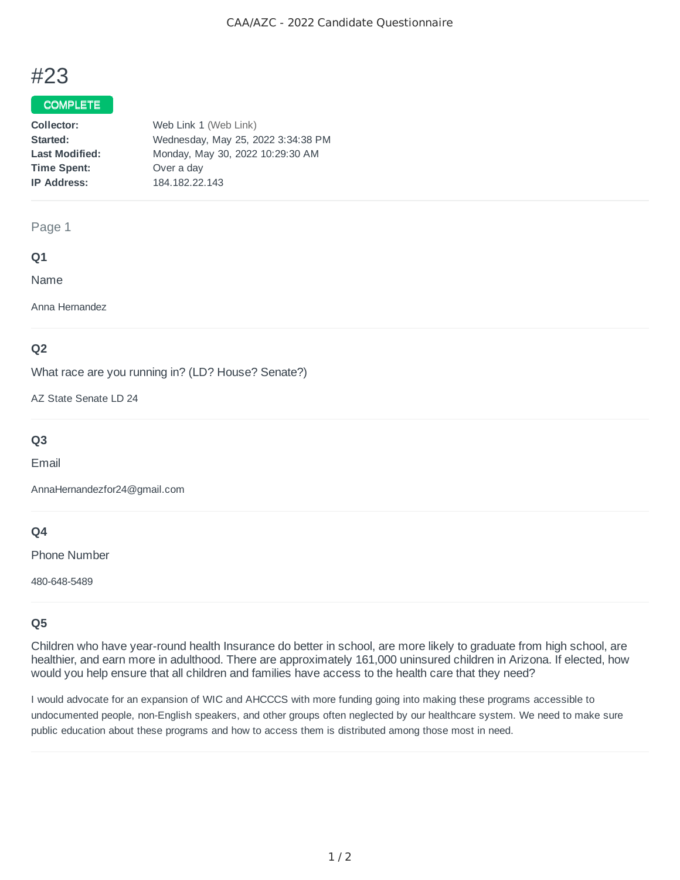# #23

## COMPLETE

| Web Link 1 (Web Link)              |
|------------------------------------|
| Wednesday, May 25, 2022 3:34:38 PM |
| Monday, May 30, 2022 10:29:30 AM   |
| Over a day                         |
| 184 182 22 143                     |
|                                    |

#### Page 1

## **Q1**

Name

Anna Hernandez

## **Q2**

What race are you running in? (LD? House? Senate?)

AZ State Senate LD 24

# **Q3**

Email

AnnaHernandezfor24@gmail.com

## **Q4**

Phone Number

480-648-5489

# **Q5**

Children who have year-round health Insurance do better in school, are more likely to graduate from high school, are healthier, and earn more in adulthood. There are approximately 161,000 uninsured children in Arizona. If elected, how would you help ensure that all children and families have access to the health care that they need?

I would advocate for an expansion of WIC and AHCCCS with more funding going into making these programs accessible to undocumented people, non-English speakers, and other groups often neglected by our healthcare system. We need to make sure public education about these programs and how to access them is distributed among those most in need.